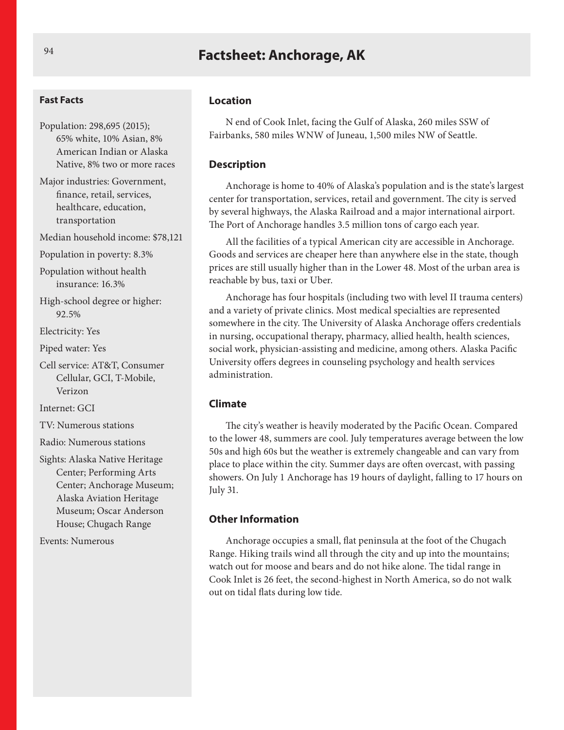## **Factsheet: Anchorage, AK**

#### **Fast Facts**

Population: 298,695 (2015); 65% white, 10% Asian, 8% American Indian or Alaska Native, 8% two or more races

Major industries: Government, finance, retail, services, healthcare, education, transportation

Median household income: \$78,121

Population in poverty: 8.3%

Population without health insurance: 16.3%

High-school degree or higher: 92.5%

Electricity: Yes

Piped water: Yes

Cell service: AT&T, Consumer Cellular, GCI, T-Mobile, Verizon

Internet: GCI

TV: Numerous stations

Radio: Numerous stations

Sights: Alaska Native Heritage Center; Performing Arts Center; Anchorage Museum; Alaska Aviation Heritage Museum; Oscar Anderson House; Chugach Range

Events: Numerous

#### **Location**

N end of Cook Inlet, facing the Gulf of Alaska, 260 miles SSW of Fairbanks, 580 miles WNW of Juneau, 1,500 miles NW of Seattle.

#### **Description**

Anchorage is home to 40% of Alaska's population and is the state's largest center for transportation, services, retail and government. The city is served by several highways, the Alaska Railroad and a major international airport. The Port of Anchorage handles 3.5 million tons of cargo each year.

All the facilities of a typical American city are accessible in Anchorage. Goods and services are cheaper here than anywhere else in the state, though prices are still usually higher than in the Lower 48. Most of the urban area is reachable by bus, taxi or Uber.

Anchorage has four hospitals (including two with level II trauma centers) and a variety of private clinics. Most medical specialties are represented somewhere in the city. The University of Alaska Anchorage offers credentials in nursing, occupational therapy, pharmacy, allied health, health sciences, social work, physician-assisting and medicine, among others. Alaska Pacific University offers degrees in counseling psychology and health services administration.

#### **Climate**

The city's weather is heavily moderated by the Pacific Ocean. Compared to the lower 48, summers are cool. July temperatures average between the low 50s and high 60s but the weather is extremely changeable and can vary from place to place within the city. Summer days are often overcast, with passing showers. On July 1 Anchorage has 19 hours of daylight, falling to 17 hours on July 31.

#### **Other Information**

Anchorage occupies a small, flat peninsula at the foot of the Chugach Range. Hiking trails wind all through the city and up into the mountains; watch out for moose and bears and do not hike alone. The tidal range in Cook Inlet is 26 feet, the second-highest in North America, so do not walk out on tidal flats during low tide.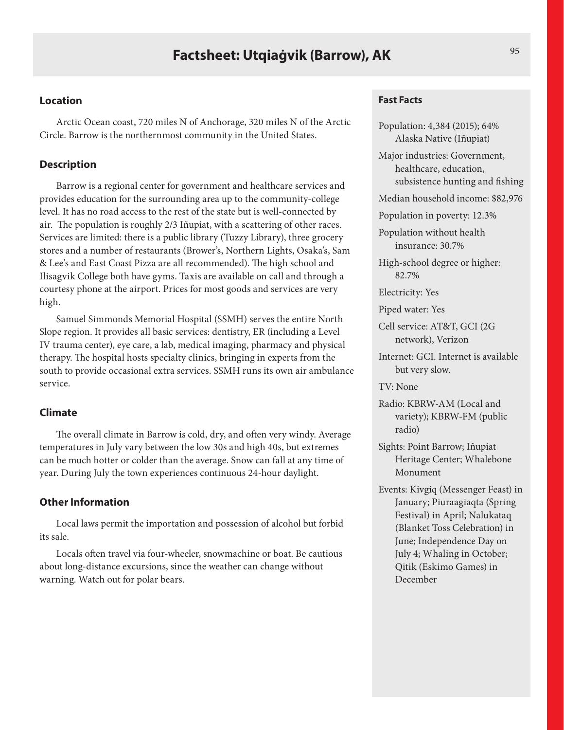Arctic Ocean coast, 720 miles N of Anchorage, 320 miles N of the Arctic Circle. Barrow is the northernmost community in the United States.

### **Description**

Barrow is a regional center for government and healthcare services and provides education for the surrounding area up to the community-college level. It has no road access to the rest of the state but is well-connected by air. The population is roughly 2/3 Iñupiat, with a scattering of other races. Services are limited: there is a public library (Tuzzy Library), three grocery stores and a number of restaurants (Brower's, Northern Lights, Osaka's, Sam & Lee's and East Coast Pizza are all recommended). The high school and Ilisagvik College both have gyms. Taxis are available on call and through a courtesy phone at the airport. Prices for most goods and services are very high.

Samuel Simmonds Memorial Hospital (SSMH) serves the entire North Slope region. It provides all basic services: dentistry, ER (including a Level IV trauma center), eye care, a lab, medical imaging, pharmacy and physical therapy. The hospital hosts specialty clinics, bringing in experts from the south to provide occasional extra services. SSMH runs its own air ambulance service.

## **Climate**

The overall climate in Barrow is cold, dry, and often very windy. Average temperatures in July vary between the low 30s and high 40s, but extremes can be much hotter or colder than the average. Snow can fall at any time of year. During July the town experiences continuous 24-hour daylight.

#### **Other Information**

Local laws permit the importation and possession of alcohol but forbid its sale.

Locals often travel via four-wheeler, snowmachine or boat. Be cautious about long-distance excursions, since the weather can change without warning. Watch out for polar bears.

#### **Fast Facts**

Population: 4,384 (2015); 64% Alaska Native (Iñupiat)

Major industries: Government, healthcare, education, subsistence hunting and fishing

Median household income: \$82,976

Population in poverty: 12.3%

Population without health insurance: 30.7%

High-school degree or higher: 82.7%

Electricity: Yes

Piped water: Yes

Cell service: AT&T, GCI (2G network), Verizon

Internet: GCI. Internet is available but very slow.

TV: None

Radio: KBRW-AM (Local and variety); KBRW-FM (public radio)

- Sights: Point Barrow; Iñupiat Heritage Center; Whalebone Monument
- Events: Kivgiq (Messenger Feast) in January; Piuraagiaqta (Spring Festival) in April; Nalukataq (Blanket Toss Celebration) in June; Independence Day on July 4; Whaling in October; Qitik (Eskimo Games) in December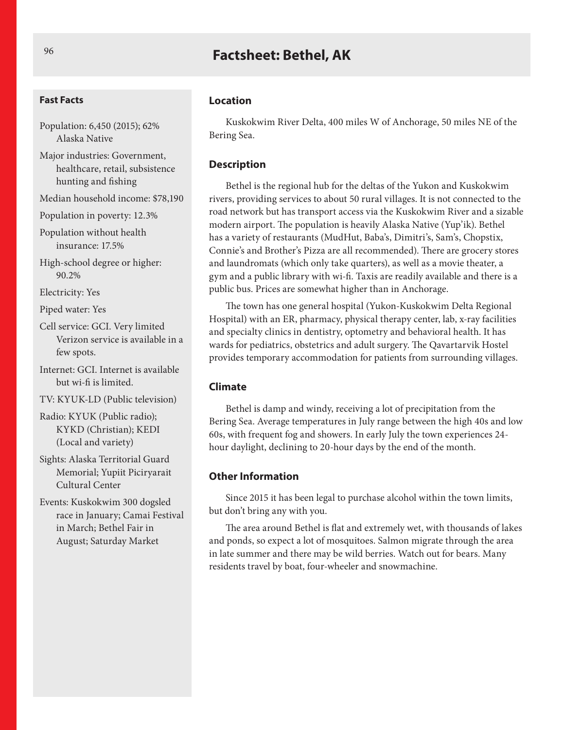# **Factsheet: Bethel, AK**

#### **Fast Facts**

- Population: 6,450 (2015); 62% Alaska Native
- Major industries: Government, healthcare, retail, subsistence hunting and fishing
- Median household income: \$78,190
- Population in poverty: 12.3%

Population without health insurance: 17.5%

High-school degree or higher: 90.2%

Electricity: Yes

Piped water: Yes

- Cell service: GCI. Very limited Verizon service is available in a few spots.
- Internet: GCI. Internet is available but wi-fi is limited.

TV: KYUK-LD (Public television)

- Radio: KYUK (Public radio); KYKD (Christian); KEDI (Local and variety)
- Sights: Alaska Territorial Guard Memorial; Yupiit Piciryarait Cultural Center

Events: Kuskokwim 300 dogsled race in January; Camai Festival in March; Bethel Fair in August; Saturday Market

#### **Location**

Kuskokwim River Delta, 400 miles W of Anchorage, 50 miles NE of the Bering Sea.

## **Description**

Bethel is the regional hub for the deltas of the Yukon and Kuskokwim rivers, providing services to about 50 rural villages. It is not connected to the road network but has transport access via the Kuskokwim River and a sizable modern airport. The population is heavily Alaska Native (Yup'ik). Bethel has a variety of restaurants (MudHut, Baba's, Dimitri's, Sam's, Chopstix, Connie's and Brother's Pizza are all recommended). There are grocery stores and laundromats (which only take quarters), as well as a movie theater, a gym and a public library with wi-fi. Taxis are readily available and there is a public bus. Prices are somewhat higher than in Anchorage.

The town has one general hospital (Yukon-Kuskokwim Delta Regional Hospital) with an ER, pharmacy, physical therapy center, lab, x-ray facilities and specialty clinics in dentistry, optometry and behavioral health. It has wards for pediatrics, obstetrics and adult surgery. The Qavartarvik Hostel provides temporary accommodation for patients from surrounding villages.

#### **Climate**

Bethel is damp and windy, receiving a lot of precipitation from the Bering Sea. Average temperatures in July range between the high 40s and low 60s, with frequent fog and showers. In early July the town experiences 24 hour daylight, declining to 20-hour days by the end of the month.

#### **Other Information**

Since 2015 it has been legal to purchase alcohol within the town limits, but don't bring any with you.

The area around Bethel is flat and extremely wet, with thousands of lakes and ponds, so expect a lot of mosquitoes. Salmon migrate through the area in late summer and there may be wild berries. Watch out for bears. Many residents travel by boat, four-wheeler and snowmachine.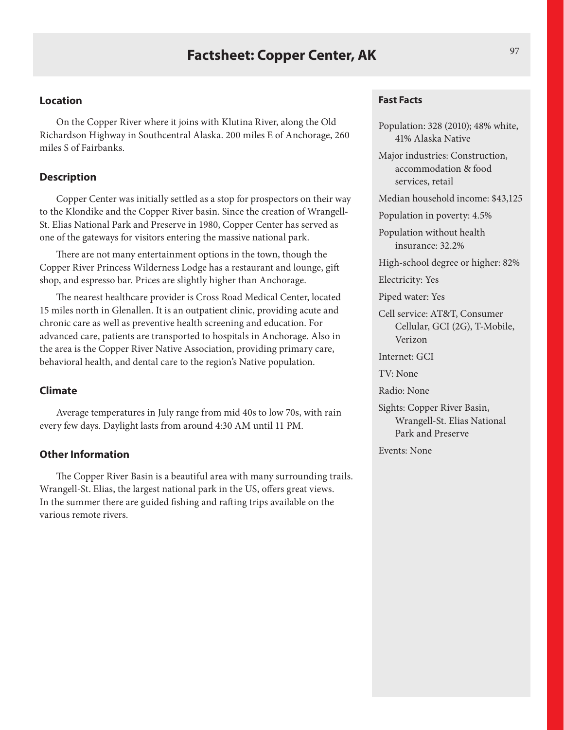On the Copper River where it joins with Klutina River, along the Old Richardson Highway in Southcentral Alaska. 200 miles E of Anchorage, 260 miles S of Fairbanks.

#### **Description**

Copper Center was initially settled as a stop for prospectors on their way to the Klondike and the Copper River basin. Since the creation of Wrangell-St. Elias National Park and Preserve in 1980, Copper Center has served as one of the gateways for visitors entering the massive national park.

There are not many entertainment options in the town, though the Copper River Princess Wilderness Lodge has a restaurant and lounge, gift shop, and espresso bar. Prices are slightly higher than Anchorage.

The nearest healthcare provider is Cross Road Medical Center, located 15 miles north in Glenallen. It is an outpatient clinic, providing acute and chronic care as well as preventive health screening and education. For advanced care, patients are transported to hospitals in Anchorage. Also in the area is the Copper River Native Association, providing primary care, behavioral health, and dental care to the region's Native population.

#### **Climate**

Average temperatures in July range from mid 40s to low 70s, with rain every few days. Daylight lasts from around 4:30 AM until 11 PM.

## **Other Information**

The Copper River Basin is a beautiful area with many surrounding trails. Wrangell-St. Elias, the largest national park in the US, offers great views. In the summer there are guided fishing and rafting trips available on the various remote rivers.

#### **Fast Facts**

Population: 328 (2010); 48% white, 41% Alaska Native

Major industries: Construction, accommodation & food services, retail

Median household income: \$43,125

Population in poverty: 4.5%

Population without health insurance: 32.2%

High-school degree or higher: 82%

Electricity: Yes

Piped water: Yes

Cell service: AT&T, Consumer Cellular, GCI (2G), T-Mobile, Verizon

Internet: GCI

TV: None

Radio: None

Sights: Copper River Basin, Wrangell-St. Elias National Park and Preserve

Events: None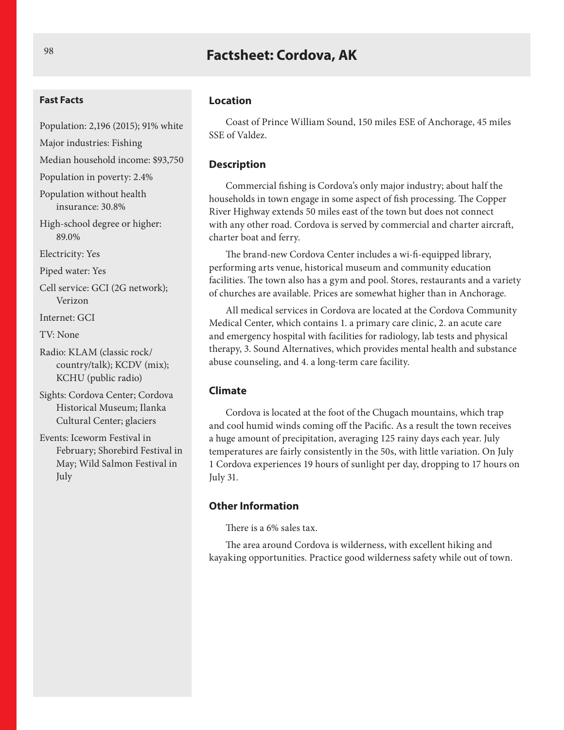## **Factsheet: Cordova, AK**

#### **Fast Facts**

- Population: 2,196 (2015); 91% white
- Major industries: Fishing
- Median household income: \$93,750

Population in poverty: 2.4%

Population without health insurance: 30.8%

High-school degree or higher: 89.0%

Electricity: Yes

Piped water: Yes

Cell service: GCI (2G network); Verizon

Internet: GCI

TV: None

Radio: KLAM (classic rock/ country/talk); KCDV (mix); KCHU (public radio)

Sights: Cordova Center; Cordova Historical Museum; Ilanka Cultural Center; glaciers

Events: Iceworm Festival in February; Shorebird Festival in May; Wild Salmon Festival in July

#### **Location**

Coast of Prince William Sound, 150 miles ESE of Anchorage, 45 miles SSE of Valdez.

#### **Description**

Commercial fishing is Cordova's only major industry; about half the households in town engage in some aspect of fish processing. The Copper River Highway extends 50 miles east of the town but does not connect with any other road. Cordova is served by commercial and charter aircraft, charter boat and ferry.

The brand-new Cordova Center includes a wi-fi-equipped library, performing arts venue, historical museum and community education facilities. The town also has a gym and pool. Stores, restaurants and a variety of churches are available. Prices are somewhat higher than in Anchorage.

All medical services in Cordova are located at the Cordova Community Medical Center, which contains 1. a primary care clinic, 2. an acute care and emergency hospital with facilities for radiology, lab tests and physical therapy, 3. Sound Alternatives, which provides mental health and substance abuse counseling, and 4. a long-term care facility.

#### **Climate**

Cordova is located at the foot of the Chugach mountains, which trap and cool humid winds coming off the Pacific. As a result the town receives a huge amount of precipitation, averaging 125 rainy days each year. July temperatures are fairly consistently in the 50s, with little variation. On July 1 Cordova experiences 19 hours of sunlight per day, dropping to 17 hours on July 31.

#### **Other Information**

There is a 6% sales tax.

The area around Cordova is wilderness, with excellent hiking and kayaking opportunities. Practice good wilderness safety while out of town.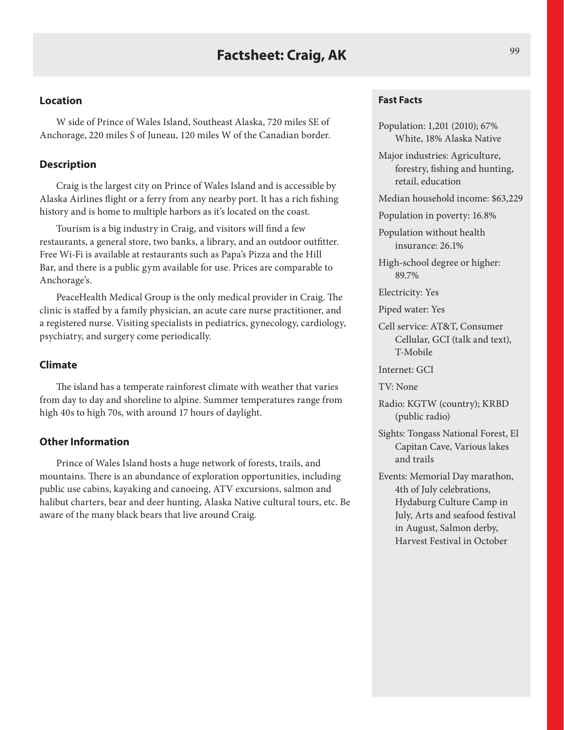W side of Prince of Wales Island, Southeast Alaska, 720 miles SE of Anchorage, 220 miles S of Juneau, 120 miles W of the Canadian border.

## **Description**

Craig is the largest city on Prince of Wales Island and is accessible by Alaska Airlines flight or a ferry from any nearby port. It has a rich fishing history and is home to multiple harbors as it's located on the coast.

Tourism is a big industry in Craig, and visitors will find a few restaurants, a general store, two banks, a library, and an outdoor outfitter. Free Wi-Fi is available at restaurants such as Papa's Pizza and the Hill Bar, and there is a public gym available for use. Prices are comparable to Anchorage's.

PeaceHealth Medical Group is the only medical provider in Craig. The clinic is staffed by a family physician, an acute care nurse practitioner, and a registered nurse. Visiting specialists in pediatrics, gynecology, cardiology, psychiatry, and surgery come periodically.

## **Climate**

The island has a temperate rainforest climate with weather that varies from day to day and shoreline to alpine. Summer temperatures range from high 40s to high 70s, with around 17 hours of daylight.

## **Other Information**

Prince of Wales Island hosts a huge network of forests, trails, and mountains. There is an abundance of exploration opportunities, including public use cabins, kayaking and canoeing, ATV excursions, salmon and halibut charters, bear and deer hunting, Alaska Native cultural tours, etc. Be aware of the many black bears that live around Craig.

#### **Fast Facts**

- Population: 1,201 (2010); 67% White, 18% Alaska Native
- Major industries: Agriculture, forestry, fishing and hunting, retail, education
- Median household income: \$63,229
- Population in poverty: 16.8%

Population without health insurance: 26.1%

- High-school degree or higher: 89.7%
- Electricity: Yes
- Piped water: Yes
- Cell service: AT&T, Consumer Cellular, GCI (talk and text), T-Mobile

Internet: GCI

TV: None

- Radio: KGTW (country); KRBD (public radio)
- Sights: Tongass National Forest, El Capitan Cave, Various lakes and trails
- Events: Memorial Day marathon, 4th of July celebrations, Hydaburg Culture Camp in July, Arts and seafood festival in August, Salmon derby, Harvest Festival in October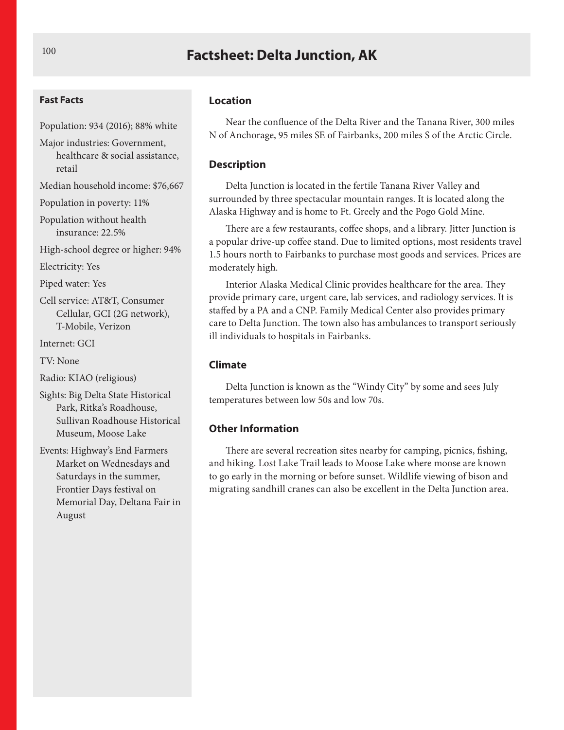## **Factsheet: Delta Junction, AK**

#### **Fast Facts**

Population: 934 (2016); 88% white

Major industries: Government, healthcare & social assistance, retail

Median household income: \$76,667

Population in poverty: 11%

Population without health insurance: 22.5%

High-school degree or higher: 94%

Electricity: Yes

Piped water: Yes

Cell service: AT&T, Consumer Cellular, GCI (2G network), T-Mobile, Verizon

Internet: GCI

TV: None

Radio: KIAO (religious)

Sights: Big Delta State Historical Park, Ritka's Roadhouse, Sullivan Roadhouse Historical Museum, Moose Lake

Events: Highway's End Farmers Market on Wednesdays and Saturdays in the summer, Frontier Days festival on Memorial Day, Deltana Fair in August

#### **Location**

Near the confluence of the Delta River and the Tanana River, 300 miles N of Anchorage, 95 miles SE of Fairbanks, 200 miles S of the Arctic Circle.

#### **Description**

Delta Junction is located in the fertile Tanana River Valley and surrounded by three spectacular mountain ranges. It is located along the Alaska Highway and is home to Ft. Greely and the Pogo Gold Mine.

There are a few restaurants, coffee shops, and a library. Jitter Junction is a popular drive-up coffee stand. Due to limited options, most residents travel 1.5 hours north to Fairbanks to purchase most goods and services. Prices are moderately high.

Interior Alaska Medical Clinic provides healthcare for the area. They provide primary care, urgent care, lab services, and radiology services. It is staffed by a PA and a CNP. Family Medical Center also provides primary care to Delta Junction. The town also has ambulances to transport seriously ill individuals to hospitals in Fairbanks.

#### **Climate**

Delta Junction is known as the "Windy City" by some and sees July temperatures between low 50s and low 70s.

#### **Other Information**

There are several recreation sites nearby for camping, picnics, fishing, and hiking. Lost Lake Trail leads to Moose Lake where moose are known to go early in the morning or before sunset. Wildlife viewing of bison and migrating sandhill cranes can also be excellent in the Delta Junction area.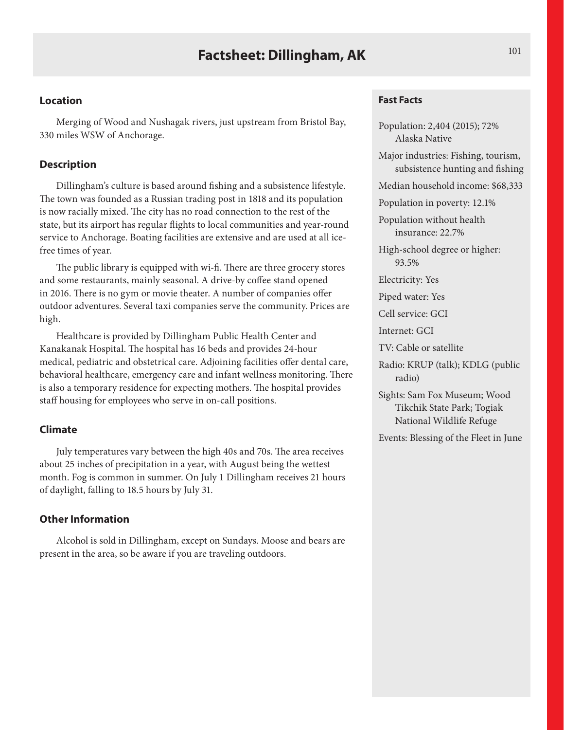Merging of Wood and Nushagak rivers, just upstream from Bristol Bay, 330 miles WSW of Anchorage.

## **Description**

Dillingham's culture is based around fishing and a subsistence lifestyle. The town was founded as a Russian trading post in 1818 and its population is now racially mixed. The city has no road connection to the rest of the state, but its airport has regular flights to local communities and year-round service to Anchorage. Boating facilities are extensive and are used at all icefree times of year.

The public library is equipped with wi-fi. There are three grocery stores and some restaurants, mainly seasonal. A drive-by coffee stand opened in 2016. There is no gym or movie theater. A number of companies offer outdoor adventures. Several taxi companies serve the community. Prices are high.

Healthcare is provided by Dillingham Public Health Center and Kanakanak Hospital. The hospital has 16 beds and provides 24-hour medical, pediatric and obstetrical care. Adjoining facilities offer dental care, behavioral healthcare, emergency care and infant wellness monitoring. There is also a temporary residence for expecting mothers. The hospital provides staff housing for employees who serve in on-call positions.

## **Climate**

July temperatures vary between the high 40s and 70s. The area receives about 25 inches of precipitation in a year, with August being the wettest month. Fog is common in summer. On July 1 Dillingham receives 21 hours of daylight, falling to 18.5 hours by July 31.

## **Other Information**

Alcohol is sold in Dillingham, except on Sundays. Moose and bears are present in the area, so be aware if you are traveling outdoors.

### **Fast Facts**

Population: 2,404 (2015); 72% Alaska Native Major industries: Fishing, tourism, subsistence hunting and fishing Median household income: \$68,333 Population in poverty: 12.1% Population without health insurance: 22.7% High-school degree or higher: 93.5% Electricity: Yes Piped water: Yes Cell service: GCI Internet: GCI TV: Cable or satellite Radio: KRUP (talk); KDLG (public radio) Sights: Sam Fox Museum; Wood Tikchik State Park; Togiak National Wildlife Refuge Events: Blessing of the Fleet in June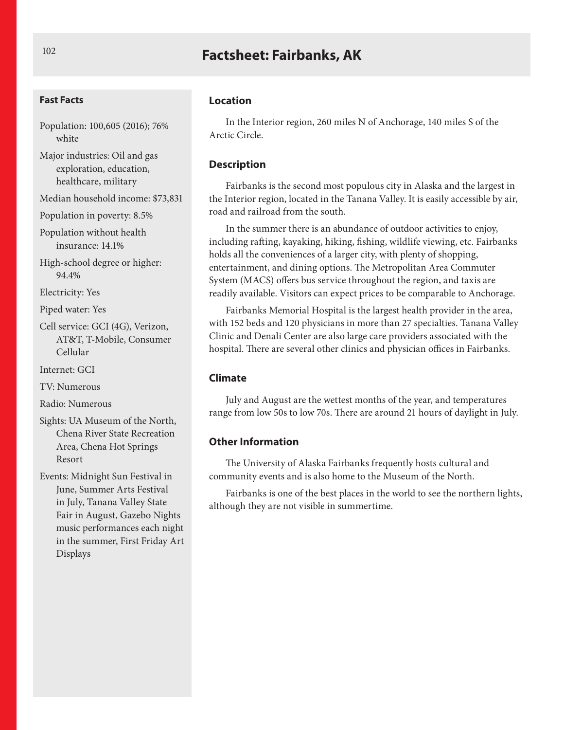# **Factsheet: Fairbanks, AK**

#### **Fast Facts**

Population: 100,605 (2016); 76% white

Major industries: Oil and gas exploration, education, healthcare, military

Median household income: \$73,831

Population in poverty: 8.5%

Population without health insurance: 14.1%

High-school degree or higher: 94.4%

Electricity: Yes

Piped water: Yes

Cell service: GCI (4G), Verizon, AT&T, T-Mobile, Consumer Cellular

Internet: GCI

TV: Numerous

Radio: Numerous

Sights: UA Museum of the North, Chena River State Recreation Area, Chena Hot Springs Resort

Events: Midnight Sun Festival in June, Summer Arts Festival in July, Tanana Valley State Fair in August, Gazebo Nights music performances each night in the summer, First Friday Art Displays

#### **Location**

In the Interior region, 260 miles N of Anchorage, 140 miles S of the Arctic Circle.

#### **Description**

Fairbanks is the second most populous city in Alaska and the largest in the Interior region, located in the Tanana Valley. It is easily accessible by air, road and railroad from the south.

In the summer there is an abundance of outdoor activities to enjoy, including rafting, kayaking, hiking, fishing, wildlife viewing, etc. Fairbanks holds all the conveniences of a larger city, with plenty of shopping, entertainment, and dining options. The Metropolitan Area Commuter System (MACS) offers bus service throughout the region, and taxis are readily available. Visitors can expect prices to be comparable to Anchorage.

Fairbanks Memorial Hospital is the largest health provider in the area, with 152 beds and 120 physicians in more than 27 specialties. Tanana Valley Clinic and Denali Center are also large care providers associated with the hospital. There are several other clinics and physician offices in Fairbanks.

#### **Climate**

July and August are the wettest months of the year, and temperatures range from low 50s to low 70s. There are around 21 hours of daylight in July.

## **Other Information**

The University of Alaska Fairbanks frequently hosts cultural and community events and is also home to the Museum of the North.

Fairbanks is one of the best places in the world to see the northern lights, although they are not visible in summertime.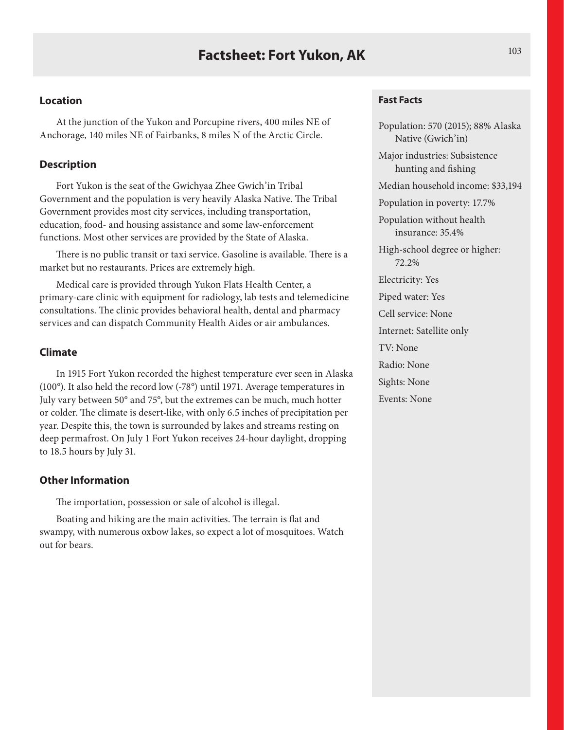At the junction of the Yukon and Porcupine rivers, 400 miles NE of Anchorage, 140 miles NE of Fairbanks, 8 miles N of the Arctic Circle.

## **Description**

Fort Yukon is the seat of the Gwichyaa Zhee Gwich'in Tribal Government and the population is very heavily Alaska Native. The Tribal Government provides most city services, including transportation, education, food- and housing assistance and some law-enforcement functions. Most other services are provided by the State of Alaska.

There is no public transit or taxi service. Gasoline is available. There is a market but no restaurants. Prices are extremely high.

Medical care is provided through Yukon Flats Health Center, a primary-care clinic with equipment for radiology, lab tests and telemedicine consultations. The clinic provides behavioral health, dental and pharmacy services and can dispatch Community Health Aides or air ambulances.

## **Climate**

In 1915 Fort Yukon recorded the highest temperature ever seen in Alaska (100°). It also held the record low (-78°) until 1971. Average temperatures in July vary between 50° and 75°, but the extremes can be much, much hotter or colder. The climate is desert-like, with only 6.5 inches of precipitation per year. Despite this, the town is surrounded by lakes and streams resting on deep permafrost. On July 1 Fort Yukon receives 24-hour daylight, dropping to 18.5 hours by July 31.

### **Other Information**

The importation, possession or sale of alcohol is illegal.

Boating and hiking are the main activities. The terrain is flat and swampy, with numerous oxbow lakes, so expect a lot of mosquitoes. Watch out for bears.

#### **Fast Facts**

Population: 570 (2015); 88% Alaska Native (Gwich'in) Major industries: Subsistence hunting and fishing Median household income: \$33,194 Population in poverty: 17.7% Population without health insurance: 35.4% High-school degree or higher: 72.2% Electricity: Yes Piped water: Yes Cell service: None Internet: Satellite only TV: None Radio: None Sights: None Events: None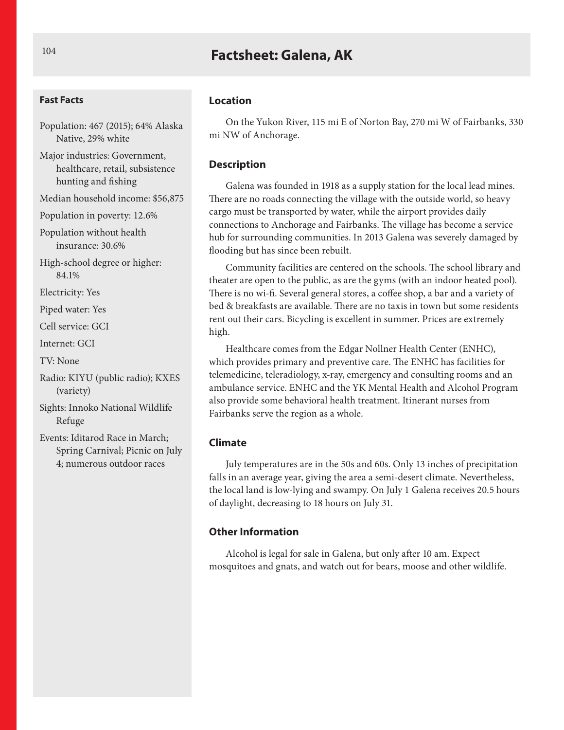# **Factsheet: Galena, AK**

#### **Fast Facts**

Population: 467 (2015); 64% Alaska Native, 29% white

Major industries: Government, healthcare, retail, subsistence hunting and fishing

Median household income: \$56,875

Population in poverty: 12.6%

Population without health insurance: 30.6%

High-school degree or higher: 84.1%

Electricity: Yes

Piped water: Yes

Cell service: GCI

Internet: GCI

TV: None

Radio: KIYU (public radio); KXES (variety)

Sights: Innoko National Wildlife Refuge

Events: Iditarod Race in March; Spring Carnival; Picnic on July 4; numerous outdoor races

#### **Location**

On the Yukon River, 115 mi E of Norton Bay, 270 mi W of Fairbanks, 330 mi NW of Anchorage.

#### **Description**

Galena was founded in 1918 as a supply station for the local lead mines. There are no roads connecting the village with the outside world, so heavy cargo must be transported by water, while the airport provides daily connections to Anchorage and Fairbanks. The village has become a service hub for surrounding communities. In 2013 Galena was severely damaged by flooding but has since been rebuilt.

Community facilities are centered on the schools. The school library and theater are open to the public, as are the gyms (with an indoor heated pool). There is no wi-fi. Several general stores, a coffee shop, a bar and a variety of bed & breakfasts are available. There are no taxis in town but some residents rent out their cars. Bicycling is excellent in summer. Prices are extremely high.

Healthcare comes from the Edgar Nollner Health Center (ENHC), which provides primary and preventive care. The ENHC has facilities for telemedicine, teleradiology, x-ray, emergency and consulting rooms and an ambulance service. ENHC and the YK Mental Health and Alcohol Program also provide some behavioral health treatment. Itinerant nurses from Fairbanks serve the region as a whole.

#### **Climate**

July temperatures are in the 50s and 60s. Only 13 inches of precipitation falls in an average year, giving the area a semi-desert climate. Nevertheless, the local land is low-lying and swampy. On July 1 Galena receives 20.5 hours of daylight, decreasing to 18 hours on July 31.

## **Other Information**

Alcohol is legal for sale in Galena, but only after 10 am. Expect mosquitoes and gnats, and watch out for bears, moose and other wildlife.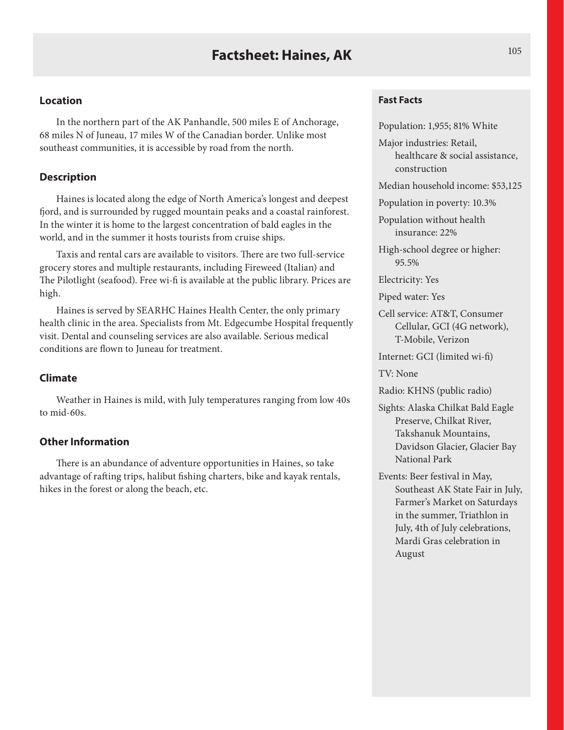In the northern part of the AK Panhandle, 500 miles E of Anchorage, 68 miles N of Juneau, 17 miles W of the Canadian border. Unlike most southeast communities, it is accessible by road from the north.

## **Description**

Haines is located along the edge of North America's longest and deepest fjord, and is surrounded by rugged mountain peaks and a coastal rainforest. In the winter it is home to the largest concentration of bald eagles in the world, and in the summer it hosts tourists from cruise ships.

Taxis and rental cars are available to visitors. There are two full-service grocery stores and multiple restaurants, including Fireweed (Italian) and The Pilotlight (seafood). Free wi-fi is available at the public library. Prices are high.

Haines is served by SEARHC Haines Health Center, the only primary health clinic in the area. Specialists from Mt. Edgecumbe Hospital frequently visit. Dental and counseling services are also available. Serious medical conditions are flown to Juneau for treatment.

### **Climate**

Weather in Haines is mild, with July temperatures ranging from low 40s to mid-60s.

## **Other Information**

There is an abundance of adventure opportunities in Haines, so take advantage of rafting trips, halibut fishing charters, bike and kayak rentals, hikes in the forest or along the beach, etc.

#### **Fast Facts**

Population: 1,955; 81% White

Major industries: Retail, healthcare & social assistance, construction

Median household income: \$53,125

Population in poverty: 10.3%

Population without health insurance: 22%

High-school degree or higher: 95.5%

Electricity: Yes

Piped water: Yes

Cell service: AT&T, Consumer Cellular, GCI (4G network), T-Mobile, Verizon

Internet: GCI (limited wi-fi)

TV: None

Radio: KHNS (public radio)

Sights: Alaska Chilkat Bald Eagle Preserve, Chilkat River, Takshanuk Mountains, Davidson Glacier, Glacier Bay National Park

Events: Beer festival in May, Southeast AK State Fair in July, Farmer's Market on Saturdays in the summer, Triathlon in July, 4th of July celebrations, Mardi Gras celebration in August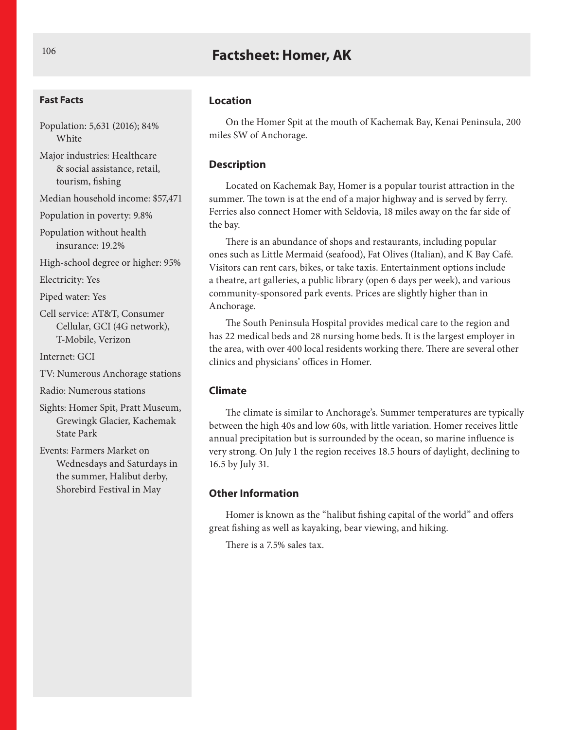# **Factsheet: Homer, AK**

#### **Fast Facts**

Population: 5,631 (2016); 84% **White** 

Major industries: Healthcare & social assistance, retail, tourism, fishing

Median household income: \$57,471

Population in poverty: 9.8%

Population without health insurance: 19.2%

High-school degree or higher: 95%

Electricity: Yes

Piped water: Yes

Cell service: AT&T, Consumer Cellular, GCI (4G network), T-Mobile, Verizon

Internet: GCI

TV: Numerous Anchorage stations

Radio: Numerous stations

Sights: Homer Spit, Pratt Museum, Grewingk Glacier, Kachemak State Park

Events: Farmers Market on Wednesdays and Saturdays in the summer, Halibut derby, Shorebird Festival in May

#### **Location**

On the Homer Spit at the mouth of Kachemak Bay, Kenai Peninsula, 200 miles SW of Anchorage.

#### **Description**

Located on Kachemak Bay, Homer is a popular tourist attraction in the summer. The town is at the end of a major highway and is served by ferry. Ferries also connect Homer with Seldovia, 18 miles away on the far side of the bay.

There is an abundance of shops and restaurants, including popular ones such as Little Mermaid (seafood), Fat Olives (Italian), and K Bay Café. Visitors can rent cars, bikes, or take taxis. Entertainment options include a theatre, art galleries, a public library (open 6 days per week), and various community-sponsored park events. Prices are slightly higher than in Anchorage.

The South Peninsula Hospital provides medical care to the region and has 22 medical beds and 28 nursing home beds. It is the largest employer in the area, with over 400 local residents working there. There are several other clinics and physicians' offices in Homer.

#### **Climate**

The climate is similar to Anchorage's. Summer temperatures are typically between the high 40s and low 60s, with little variation. Homer receives little annual precipitation but is surrounded by the ocean, so marine influence is very strong. On July 1 the region receives 18.5 hours of daylight, declining to 16.5 by July 31.

## **Other Information**

Homer is known as the "halibut fishing capital of the world" and offers great fishing as well as kayaking, bear viewing, and hiking.

There is a 7.5% sales tax.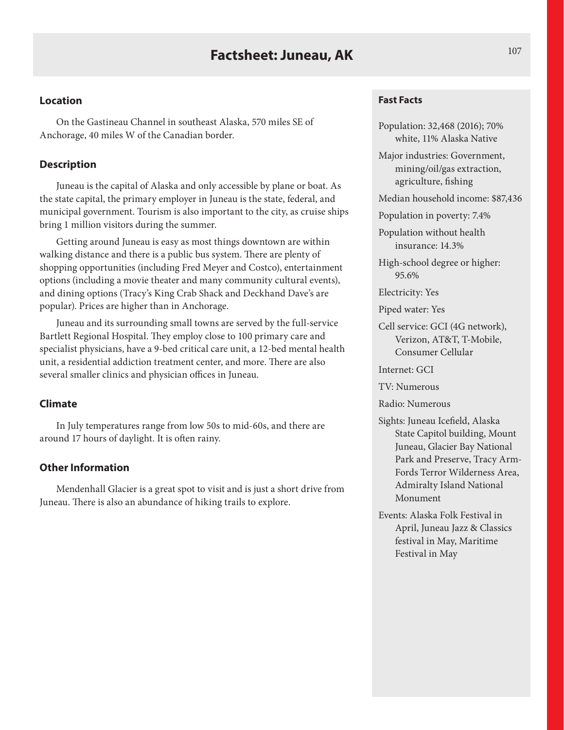On the Gastineau Channel in southeast Alaska, 570 miles SE of Anchorage, 40 miles W of the Canadian border.

## **Description**

Juneau is the capital of Alaska and only accessible by plane or boat. As the state capital, the primary employer in Juneau is the state, federal, and municipal government. Tourism is also important to the city, as cruise ships bring 1 million visitors during the summer.

Getting around Juneau is easy as most things downtown are within walking distance and there is a public bus system. There are plenty of shopping opportunities (including Fred Meyer and Costco), entertainment options (including a movie theater and many community cultural events), and dining options (Tracy's King Crab Shack and Deckhand Dave's are popular). Prices are higher than in Anchorage.

Juneau and its surrounding small towns are served by the full-service Bartlett Regional Hospital. They employ close to 100 primary care and specialist physicians, have a 9-bed critical care unit, a 12-bed mental health unit, a residential addiction treatment center, and more. There are also several smaller clinics and physician offices in Juneau.

#### **Climate**

In July temperatures range from low 50s to mid-60s, and there are around 17 hours of daylight. It is often rainy.

## **Other Information**

Mendenhall Glacier is a great spot to visit and is just a short drive from Juneau. There is also an abundance of hiking trails to explore.

#### **Fast Facts**

Population: 32,468 (2016); 70% white, 11% Alaska Native

Major industries: Government, mining/oil/gas extraction, agriculture, fishing

Median household income: \$87,436

Population in poverty: 7.4%

Population without health insurance: 14.3%

High-school degree or higher: 95.6%

Electricity: Yes

Piped water: Yes

Cell service: GCI (4G network), Verizon, AT&T, T-Mobile, Consumer Cellular

Internet: GCI

TV: Numerous

Radio: Numerous

- Sights: Juneau Icefield, Alaska State Capitol building, Mount Juneau, Glacier Bay National Park and Preserve, Tracy Arm-Fords Terror Wilderness Area, Admiralty Island National Monument
- Events: Alaska Folk Festival in April, Juneau Jazz & Classics festival in May, Maritime Festival in May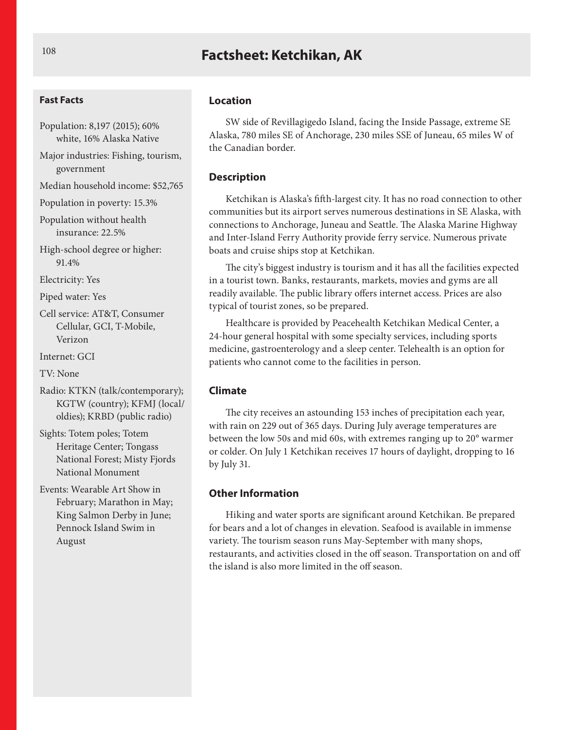# **Factsheet: Ketchikan, AK** 108

#### **Fast Facts**

- Population: 8,197 (2015); 60% white, 16% Alaska Native
- Major industries: Fishing, tourism, government
- Median household income: \$52,765
- Population in poverty: 15.3%
- Population without health insurance: 22.5%
- High-school degree or higher: 91.4%

Electricity: Yes

Piped water: Yes

Cell service: AT&T, Consumer Cellular, GCI, T-Mobile, Verizon

Internet: GCI

TV: None

- Radio: KTKN (talk/contemporary); KGTW (country); KFMJ (local/ oldies); KRBD (public radio)
- Sights: Totem poles; Totem Heritage Center; Tongass National Forest; Misty Fjords National Monument
- Events: Wearable Art Show in February; Marathon in May; King Salmon Derby in June; Pennock Island Swim in August

#### **Location**

SW side of Revillagigedo Island, facing the Inside Passage, extreme SE Alaska, 780 miles SE of Anchorage, 230 miles SSE of Juneau, 65 miles W of the Canadian border.

#### **Description**

Ketchikan is Alaska's fifth-largest city. It has no road connection to other communities but its airport serves numerous destinations in SE Alaska, with connections to Anchorage, Juneau and Seattle. The Alaska Marine Highway and Inter-Island Ferry Authority provide ferry service. Numerous private boats and cruise ships stop at Ketchikan.

The city's biggest industry is tourism and it has all the facilities expected in a tourist town. Banks, restaurants, markets, movies and gyms are all readily available. The public library offers internet access. Prices are also typical of tourist zones, so be prepared.

Healthcare is provided by Peacehealth Ketchikan Medical Center, a 24-hour general hospital with some specialty services, including sports medicine, gastroenterology and a sleep center. Telehealth is an option for patients who cannot come to the facilities in person.

#### **Climate**

The city receives an astounding 153 inches of precipitation each year, with rain on 229 out of 365 days. During July average temperatures are between the low 50s and mid 60s, with extremes ranging up to 20° warmer or colder. On July 1 Ketchikan receives 17 hours of daylight, dropping to 16 by July 31.

## **Other Information**

Hiking and water sports are significant around Ketchikan. Be prepared for bears and a lot of changes in elevation. Seafood is available in immense variety. The tourism season runs May-September with many shops, restaurants, and activities closed in the off season. Transportation on and off the island is also more limited in the off season.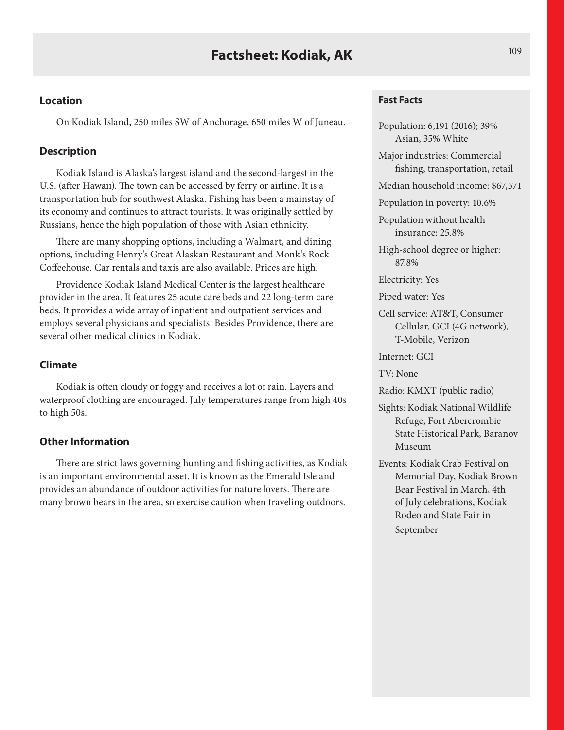On Kodiak Island, 250 miles SW of Anchorage, 650 miles W of Juneau.

## **Description**

Kodiak Island is Alaska's largest island and the second-largest in the U.S. (after Hawaii). The town can be accessed by ferry or airline. It is a transportation hub for southwest Alaska. Fishing has been a mainstay of its economy and continues to attract tourists. It was originally settled by Russians, hence the high population of those with Asian ethnicity.

There are many shopping options, including a Walmart, and dining options, including Henry's Great Alaskan Restaurant and Monk's Rock Coffeehouse. Car rentals and taxis are also available. Prices are high.

Providence Kodiak Island Medical Center is the largest healthcare provider in the area. It features 25 acute care beds and 22 long-term care beds. It provides a wide array of inpatient and outpatient services and employs several physicians and specialists. Besides Providence, there are several other medical clinics in Kodiak.

## **Climate**

Kodiak is often cloudy or foggy and receives a lot of rain. Layers and waterproof clothing are encouraged. July temperatures range from high 40s to high 50s.

## **Other Information**

There are strict laws governing hunting and fishing activities, as Kodiak is an important environmental asset. It is known as the Emerald Isle and provides an abundance of outdoor activities for nature lovers. There are many brown bears in the area, so exercise caution when traveling outdoors.

#### **Fast Facts**

Population: 6,191 (2016); 39% Asian, 35% White

Major industries: Commercial fishing, transportation, retail

Median household income: \$67,571

Population in poverty: 10.6%

Population without health insurance: 25.8%

High-school degree or higher: 87.8%

Electricity: Yes

Piped water: Yes

Cell service: AT&T, Consumer Cellular, GCI (4G network), T-Mobile, Verizon

Internet: GCI

TV: None

Radio: KMXT (public radio)

- Sights: Kodiak National Wildlife Refuge, Fort Abercrombie State Historical Park, Baranov Museum
- Events: Kodiak Crab Festival on Memorial Day, Kodiak Brown Bear Festival in March, 4th of July celebrations, Kodiak Rodeo and State Fair in September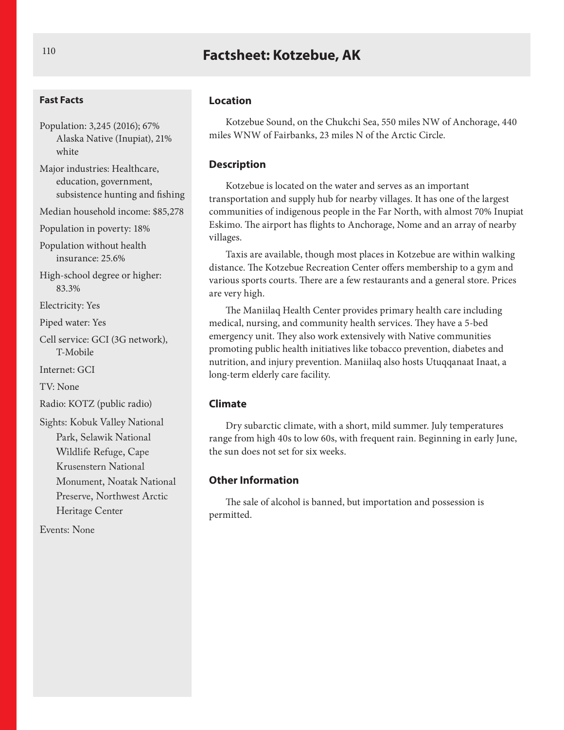# **Factsheet: Kotzebue, AK** <sup>110</sup>

#### **Fast Facts**

Population: 3,245 (2016); 67% Alaska Native (Inupiat), 21% white

Major industries: Healthcare, education, government, subsistence hunting and fishing

Median household income: \$85,278

Population in poverty: 18%

Population without health insurance: 25.6%

High-school degree or higher: 83.3%

Electricity: Yes

Piped water: Yes

Cell service: GCI (3G network), T-Mobile

Internet: GCI

TV: None

Radio: KOTZ (public radio)

Sights: Kobuk Valley National Park, Selawik National Wildlife Refuge, Cape Krusenstern National Monument, Noatak National Preserve, Northwest Arctic Heritage Center

Events: None

#### **Location**

Kotzebue Sound, on the Chukchi Sea, 550 miles NW of Anchorage, 440 miles WNW of Fairbanks, 23 miles N of the Arctic Circle.

### **Description**

Kotzebue is located on the water and serves as an important transportation and supply hub for nearby villages. It has one of the largest communities of indigenous people in the Far North, with almost 70% Inupiat Eskimo. The airport has flights to Anchorage, Nome and an array of nearby villages.

Taxis are available, though most places in Kotzebue are within walking distance. The Kotzebue Recreation Center offers membership to a gym and various sports courts. There are a few restaurants and a general store. Prices are very high.

The Maniilaq Health Center provides primary health care including medical, nursing, and community health services. They have a 5-bed emergency unit. They also work extensively with Native communities promoting public health initiatives like tobacco prevention, diabetes and nutrition, and injury prevention. Maniilaq also hosts Utuqqanaat Inaat, a long-term elderly care facility.

#### **Climate**

Dry subarctic climate, with a short, mild summer. July temperatures range from high 40s to low 60s, with frequent rain. Beginning in early June, the sun does not set for six weeks.

#### **Other Information**

The sale of alcohol is banned, but importation and possession is permitted.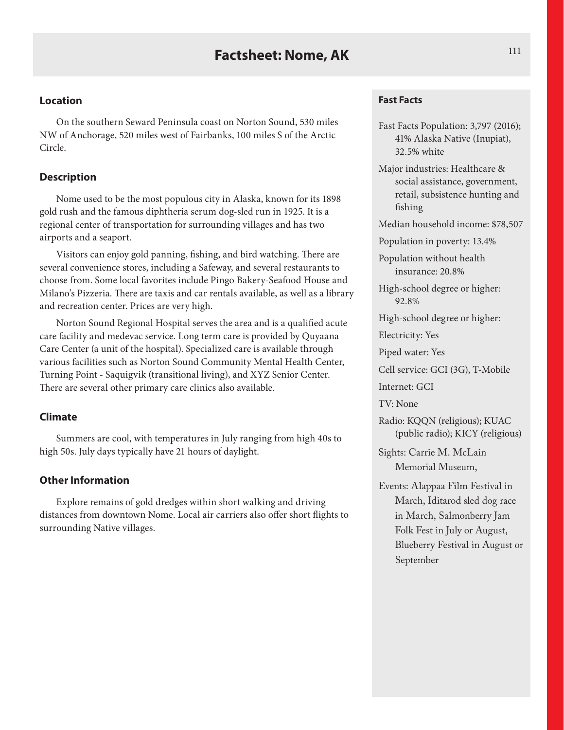On the southern Seward Peninsula coast on Norton Sound, 530 miles NW of Anchorage, 520 miles west of Fairbanks, 100 miles S of the Arctic Circle.

## **Description**

Nome used to be the most populous city in Alaska, known for its 1898 gold rush and the famous diphtheria serum dog-sled run in 1925. It is a regional center of transportation for surrounding villages and has two airports and a seaport.

Visitors can enjoy gold panning, fishing, and bird watching. There are several convenience stores, including a Safeway, and several restaurants to choose from. Some local favorites include Pingo Bakery-Seafood House and Milano's Pizzeria. There are taxis and car rentals available, as well as a library and recreation center. Prices are very high.

Norton Sound Regional Hospital serves the area and is a qualified acute care facility and medevac service. Long term care is provided by Quyaana Care Center (a unit of the hospital). Specialized care is available through various facilities such as Norton Sound Community Mental Health Center, Turning Point - Saquigvik (transitional living), and XYZ Senior Center. There are several other primary care clinics also available.

### **Climate**

Summers are cool, with temperatures in July ranging from high 40s to high 50s. July days typically have 21 hours of daylight.

#### **Other Information**

Explore remains of gold dredges within short walking and driving distances from downtown Nome. Local air carriers also offer short flights to surrounding Native villages.

#### **Fast Facts**

- Fast Facts Population: 3,797 (2016); 41% Alaska Native (Inupiat), 32.5% white
- Major industries: Healthcare & social assistance, government, retail, subsistence hunting and fishing

Median household income: \$78,507

Population in poverty: 13.4%

Population without health insurance: 20.8%

High-school degree or higher: 92.8%

High-school degree or higher:

Electricity: Yes

Piped water: Yes

Cell service: GCI (3G), T-Mobile

Internet: GCI

TV: None

Radio: KQQN (religious); KUAC (public radio); KICY (religious)

Sights: Carrie M. McLain Memorial Museum,

Events: Alappaa Film Festival in March, Iditarod sled dog race in March, Salmonberry Jam Folk Fest in July or August, Blueberry Festival in August or September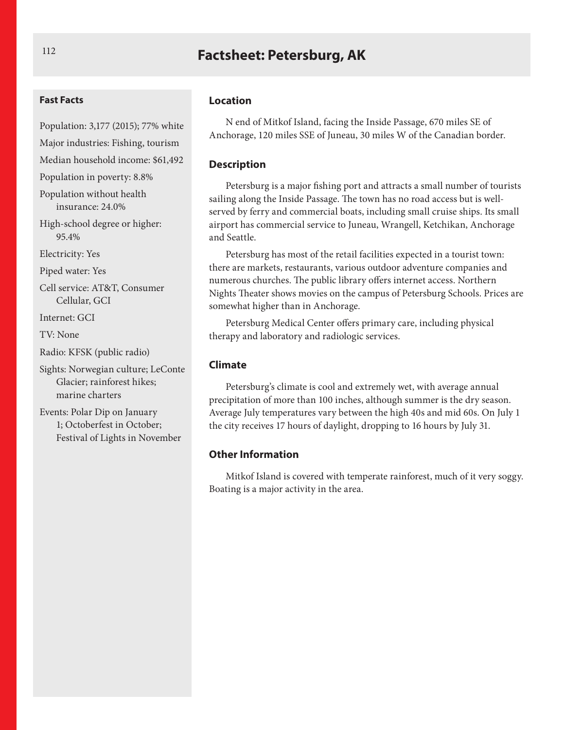# **Factsheet: Petersburg, AK**

#### **Fast Facts**

Population: 3,177 (2015); 77% white

Major industries: Fishing, tourism Median household income: \$61,492

Population in poverty: 8.8%

Population without health insurance: 24.0%

High-school degree or higher: 95.4%

Electricity: Yes

Piped water: Yes

Cell service: AT&T, Consumer Cellular, GCI

Internet: GCI

TV: None

Radio: KFSK (public radio)

Sights: Norwegian culture; LeConte Glacier; rainforest hikes; marine charters

Events: Polar Dip on January 1; Octoberfest in October; Festival of Lights in November

#### **Location**

N end of Mitkof Island, facing the Inside Passage, 670 miles SE of Anchorage, 120 miles SSE of Juneau, 30 miles W of the Canadian border.

#### **Description**

Petersburg is a major fishing port and attracts a small number of tourists sailing along the Inside Passage. The town has no road access but is wellserved by ferry and commercial boats, including small cruise ships. Its small airport has commercial service to Juneau, Wrangell, Ketchikan, Anchorage and Seattle.

Petersburg has most of the retail facilities expected in a tourist town: there are markets, restaurants, various outdoor adventure companies and numerous churches. The public library offers internet access. Northern Nights Theater shows movies on the campus of Petersburg Schools. Prices are somewhat higher than in Anchorage.

Petersburg Medical Center offers primary care, including physical therapy and laboratory and radiologic services.

#### **Climate**

Petersburg's climate is cool and extremely wet, with average annual precipitation of more than 100 inches, although summer is the dry season. Average July temperatures vary between the high 40s and mid 60s. On July 1 the city receives 17 hours of daylight, dropping to 16 hours by July 31.

## **Other Information**

Mitkof Island is covered with temperate rainforest, much of it very soggy. Boating is a major activity in the area.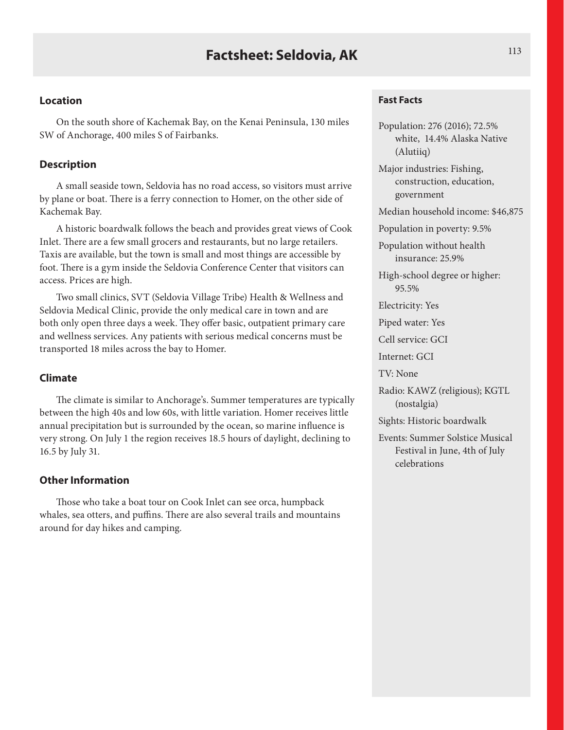On the south shore of Kachemak Bay, on the Kenai Peninsula, 130 miles SW of Anchorage, 400 miles S of Fairbanks.

## **Description**

A small seaside town, Seldovia has no road access, so visitors must arrive by plane or boat. There is a ferry connection to Homer, on the other side of Kachemak Bay.

A historic boardwalk follows the beach and provides great views of Cook Inlet. There are a few small grocers and restaurants, but no large retailers. Taxis are available, but the town is small and most things are accessible by foot. There is a gym inside the Seldovia Conference Center that visitors can access. Prices are high.

Two small clinics, SVT (Seldovia Village Tribe) Health & Wellness and Seldovia Medical Clinic, provide the only medical care in town and are both only open three days a week. They offer basic, outpatient primary care and wellness services. Any patients with serious medical concerns must be transported 18 miles across the bay to Homer.

### **Climate**

The climate is similar to Anchorage's. Summer temperatures are typically between the high 40s and low 60s, with little variation. Homer receives little annual precipitation but is surrounded by the ocean, so marine influence is very strong. On July 1 the region receives 18.5 hours of daylight, declining to 16.5 by July 31.

#### **Other Information**

Those who take a boat tour on Cook Inlet can see orca, humpback whales, sea otters, and puffins. There are also several trails and mountains around for day hikes and camping.

#### **Fast Facts**

Population: 276 (2016); 72.5% white, 14.4% Alaska Native (Alutiiq) Major industries: Fishing, construction, education, government Median household income: \$46,875 Population in poverty: 9.5% Population without health insurance: 25.9% High-school degree or higher: 95.5% Electricity: Yes Piped water: Yes Cell service: GCI Internet: GCI TV: None Radio: KAWZ (religious); KGTL (nostalgia) Sights: Historic boardwalk Events: Summer Solstice Musical Festival in June, 4th of July celebrations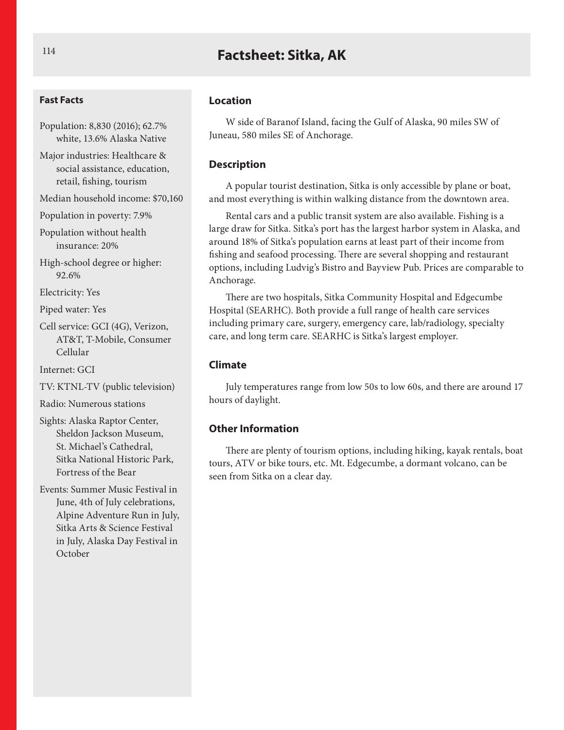# **Factsheet: Sitka, AK**

#### **Fast Facts**

Population: 8,830 (2016); 62.7% white, 13.6% Alaska Native

Major industries: Healthcare & social assistance, education, retail, fishing, tourism

Median household income: \$70,160

Population in poverty: 7.9%

Population without health insurance: 20%

High-school degree or higher: 92.6%

Electricity: Yes

Piped water: Yes

Cell service: GCI (4G), Verizon, AT&T, T-Mobile, Consumer Cellular

Internet: GCI

TV: KTNL-TV (public television)

Radio: Numerous stations

Sights: Alaska Raptor Center, Sheldon Jackson Museum, St. Michael's Cathedral, Sitka National Historic Park, Fortress of the Bear

Events: Summer Music Festival in June, 4th of July celebrations, Alpine Adventure Run in July, Sitka Arts & Science Festival in July, Alaska Day Festival in October

#### **Location**

W side of Baranof Island, facing the Gulf of Alaska, 90 miles SW of Juneau, 580 miles SE of Anchorage.

#### **Description**

A popular tourist destination, Sitka is only accessible by plane or boat, and most everything is within walking distance from the downtown area.

Rental cars and a public transit system are also available. Fishing is a large draw for Sitka. Sitka's port has the largest harbor system in Alaska, and around 18% of Sitka's population earns at least part of their income from fishing and seafood processing. There are several shopping and restaurant options, including Ludvig's Bistro and Bayview Pub. Prices are comparable to Anchorage.

There are two hospitals, Sitka Community Hospital and Edgecumbe Hospital (SEARHC). Both provide a full range of health care services including primary care, surgery, emergency care, lab/radiology, specialty care, and long term care. SEARHC is Sitka's largest employer.

#### **Climate**

July temperatures range from low 50s to low 60s, and there are around 17 hours of daylight.

### **Other Information**

There are plenty of tourism options, including hiking, kayak rentals, boat tours, ATV or bike tours, etc. Mt. Edgecumbe, a dormant volcano, can be seen from Sitka on a clear day.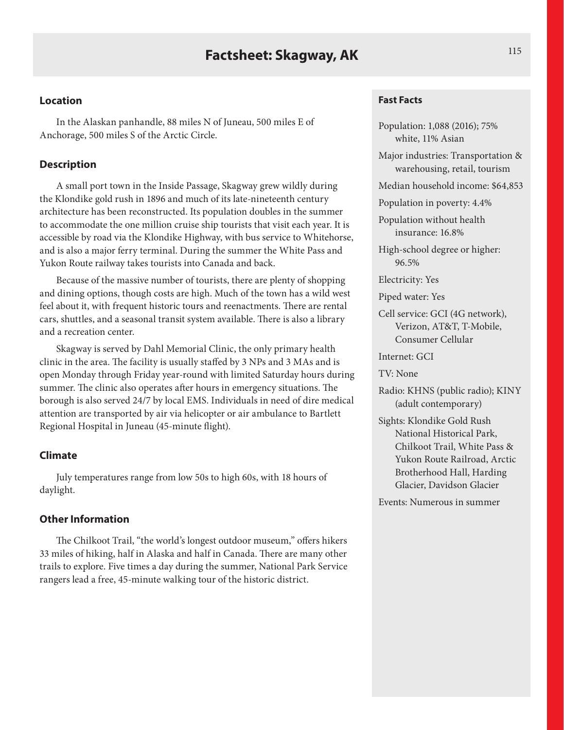In the Alaskan panhandle, 88 miles N of Juneau, 500 miles E of Anchorage, 500 miles S of the Arctic Circle.

## **Description**

A small port town in the Inside Passage, Skagway grew wildly during the Klondike gold rush in 1896 and much of its late-nineteenth century architecture has been reconstructed. Its population doubles in the summer to accommodate the one million cruise ship tourists that visit each year. It is accessible by road via the Klondike Highway, with bus service to Whitehorse, and is also a major ferry terminal. During the summer the White Pass and Yukon Route railway takes tourists into Canada and back.

Because of the massive number of tourists, there are plenty of shopping and dining options, though costs are high. Much of the town has a wild west feel about it, with frequent historic tours and reenactments. There are rental cars, shuttles, and a seasonal transit system available. There is also a library and a recreation center.

Skagway is served by Dahl Memorial Clinic, the only primary health clinic in the area. The facility is usually staffed by 3 NPs and 3 MAs and is open Monday through Friday year-round with limited Saturday hours during summer. The clinic also operates after hours in emergency situations. The borough is also served 24/7 by local EMS. Individuals in need of dire medical attention are transported by air via helicopter or air ambulance to Bartlett Regional Hospital in Juneau (45-minute flight).

## **Climate**

July temperatures range from low 50s to high 60s, with 18 hours of daylight.

### **Other Information**

The Chilkoot Trail, "the world's longest outdoor museum," offers hikers 33 miles of hiking, half in Alaska and half in Canada. There are many other trails to explore. Five times a day during the summer, National Park Service rangers lead a free, 45-minute walking tour of the historic district.

#### **Fast Facts**

Population: 1,088 (2016); 75% white, 11% Asian

Major industries: Transportation & warehousing, retail, tourism

Median household income: \$64,853

Population in poverty: 4.4%

Population without health insurance: 16.8%

High-school degree or higher: 96.5%

Electricity: Yes

Piped water: Yes

Cell service: GCI (4G network), Verizon, AT&T, T-Mobile, Consumer Cellular

Internet: GCI

TV: None

- Radio: KHNS (public radio); KINY (adult contemporary)
- Sights: Klondike Gold Rush National Historical Park, Chilkoot Trail, White Pass & Yukon Route Railroad, Arctic Brotherhood Hall, Harding Glacier, Davidson Glacier

Events: Numerous in summer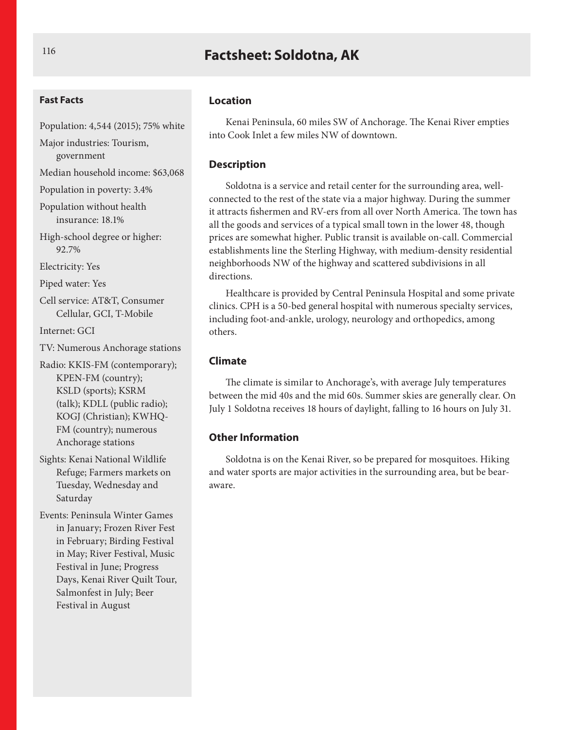# **Factsheet: Soldotna, AK**

#### **Fast Facts**

Population: 4,544 (2015); 75% white

Major industries: Tourism, government

Median household income: \$63,068

Population in poverty: 3.4%

Population without health insurance: 18.1%

High-school degree or higher: 92.7%

Electricity: Yes

Piped water: Yes

Cell service: AT&T, Consumer Cellular, GCI, T-Mobile

Internet: GCI

TV: Numerous Anchorage stations

Radio: KKIS-FM (contemporary); KPEN-FM (country); KSLD (sports); KSRM (talk); KDLL (public radio); KOGJ (Christian); KWHQ-FM (country); numerous Anchorage stations

Sights: Kenai National Wildlife Refuge; Farmers markets on Tuesday, Wednesday and Saturday

Events: Peninsula Winter Games in January; Frozen River Fest in February; Birding Festival in May; River Festival, Music Festival in June; Progress Days, Kenai River Quilt Tour, Salmonfest in July; Beer Festival in August

#### **Location**

Kenai Peninsula, 60 miles SW of Anchorage. The Kenai River empties into Cook Inlet a few miles NW of downtown.

#### **Description**

Soldotna is a service and retail center for the surrounding area, wellconnected to the rest of the state via a major highway. During the summer it attracts fishermen and RV-ers from all over North America. The town has all the goods and services of a typical small town in the lower 48, though prices are somewhat higher. Public transit is available on-call. Commercial establishments line the Sterling Highway, with medium-density residential neighborhoods NW of the highway and scattered subdivisions in all directions.

Healthcare is provided by Central Peninsula Hospital and some private clinics. CPH is a 50-bed general hospital with numerous specialty services, including foot-and-ankle, urology, neurology and orthopedics, among others.

#### **Climate**

The climate is similar to Anchorage's, with average July temperatures between the mid 40s and the mid 60s. Summer skies are generally clear. On July 1 Soldotna receives 18 hours of daylight, falling to 16 hours on July 31.

## **Other Information**

Soldotna is on the Kenai River, so be prepared for mosquitoes. Hiking and water sports are major activities in the surrounding area, but be bearaware.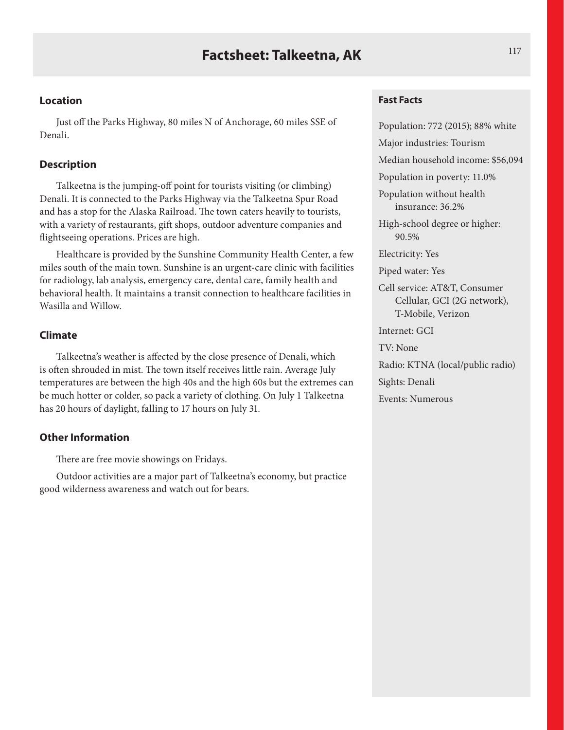Just off the Parks Highway, 80 miles N of Anchorage, 60 miles SSE of Denali.

## **Description**

Talkeetna is the jumping-off point for tourists visiting (or climbing) Denali. It is connected to the Parks Highway via the Talkeetna Spur Road and has a stop for the Alaska Railroad. The town caters heavily to tourists, with a variety of restaurants, gift shops, outdoor adventure companies and flightseeing operations. Prices are high.

Healthcare is provided by the Sunshine Community Health Center, a few miles south of the main town. Sunshine is an urgent-care clinic with facilities for radiology, lab analysis, emergency care, dental care, family health and behavioral health. It maintains a transit connection to healthcare facilities in Wasilla and Willow.

## **Climate**

Talkeetna's weather is affected by the close presence of Denali, which is often shrouded in mist. The town itself receives little rain. Average July temperatures are between the high 40s and the high 60s but the extremes can be much hotter or colder, so pack a variety of clothing. On July 1 Talkeetna has 20 hours of daylight, falling to 17 hours on July 31.

## **Other Information**

There are free movie showings on Fridays.

Outdoor activities are a major part of Talkeetna's economy, but practice good wilderness awareness and watch out for bears.

## **Fast Facts**

Population: 772 (2015); 88% white Major industries: Tourism Median household income: \$56,094 Population in poverty: 11.0% Population without health insurance: 36.2% High-school degree or higher: 90.5% Electricity: Yes Piped water: Yes Cell service: AT&T, Consumer Cellular, GCI (2G network), T-Mobile, Verizon Internet: GCI TV: None Radio: KTNA (local/public radio) Sights: Denali Events: Numerous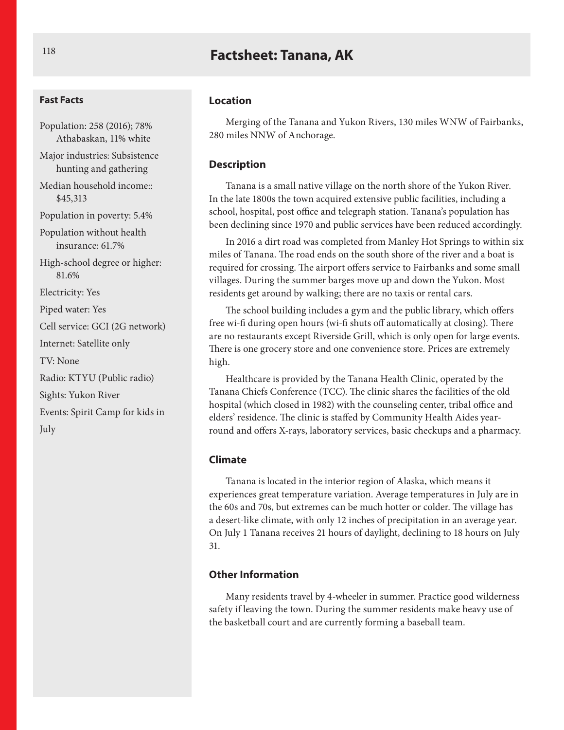## **Factsheet: Tanana, AK**

#### **Fast Facts**

Population: 258 (2016); 78% Athabaskan, 11% white Major industries: Subsistence hunting and gathering Median household income:: \$45,313 Population in poverty: 5.4% Population without health insurance: 61.7% High-school degree or higher: 81.6% Electricity: Yes Piped water: Yes Cell service: GCI (2G network) Internet: Satellite only TV: None Radio: KTYU (Public radio) Sights: Yukon River Events: Spirit Camp for kids in July

#### **Location**

Merging of the Tanana and Yukon Rivers, 130 miles WNW of Fairbanks, 280 miles NNW of Anchorage.

#### **Description**

Tanana is a small native village on the north shore of the Yukon River. In the late 1800s the town acquired extensive public facilities, including a school, hospital, post office and telegraph station. Tanana's population has been declining since 1970 and public services have been reduced accordingly.

In 2016 a dirt road was completed from Manley Hot Springs to within six miles of Tanana. The road ends on the south shore of the river and a boat is required for crossing. The airport offers service to Fairbanks and some small villages. During the summer barges move up and down the Yukon. Most residents get around by walking; there are no taxis or rental cars.

The school building includes a gym and the public library, which offers free wi-fi during open hours (wi-fi shuts off automatically at closing). There are no restaurants except Riverside Grill, which is only open for large events. There is one grocery store and one convenience store. Prices are extremely high.

Healthcare is provided by the Tanana Health Clinic, operated by the Tanana Chiefs Conference (TCC). The clinic shares the facilities of the old hospital (which closed in 1982) with the counseling center, tribal office and elders' residence. The clinic is staffed by Community Health Aides yearround and offers X-rays, laboratory services, basic checkups and a pharmacy.

#### **Climate**

Tanana is located in the interior region of Alaska, which means it experiences great temperature variation. Average temperatures in July are in the 60s and 70s, but extremes can be much hotter or colder. The village has a desert-like climate, with only 12 inches of precipitation in an average year. On July 1 Tanana receives 21 hours of daylight, declining to 18 hours on July 31.

### **Other Information**

Many residents travel by 4-wheeler in summer. Practice good wilderness safety if leaving the town. During the summer residents make heavy use of the basketball court and are currently forming a baseball team.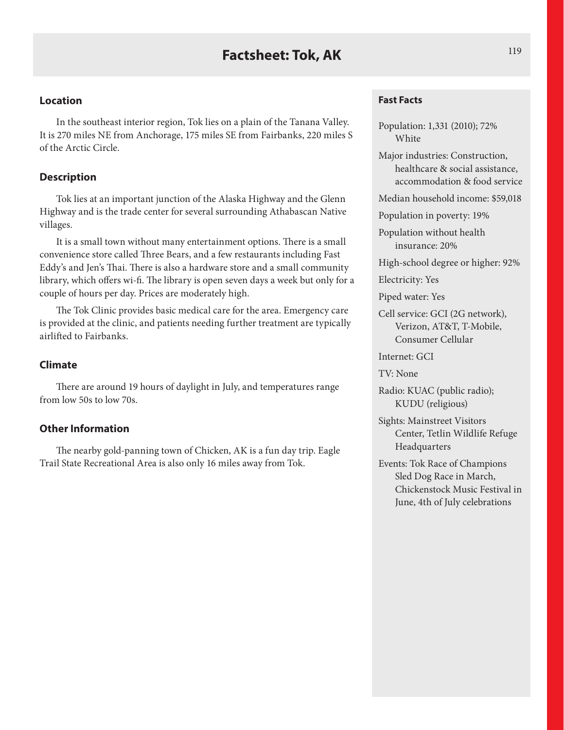In the southeast interior region, Tok lies on a plain of the Tanana Valley. It is 270 miles NE from Anchorage, 175 miles SE from Fairbanks, 220 miles S of the Arctic Circle.

## **Description**

Tok lies at an important junction of the Alaska Highway and the Glenn Highway and is the trade center for several surrounding Athabascan Native villages.

It is a small town without many entertainment options. There is a small convenience store called Three Bears, and a few restaurants including Fast Eddy's and Jen's Thai. There is also a hardware store and a small community library, which offers wi-fi. The library is open seven days a week but only for a couple of hours per day. Prices are moderately high.

The Tok Clinic provides basic medical care for the area. Emergency care is provided at the clinic, and patients needing further treatment are typically airlifted to Fairbanks.

## **Climate**

There are around 19 hours of daylight in July, and temperatures range from low 50s to low 70s.

#### **Other Information**

The nearby gold-panning town of Chicken, AK is a fun day trip. Eagle Trail State Recreational Area is also only 16 miles away from Tok.

#### **Fast Facts**

Population: 1,331 (2010); 72% **White** 

Major industries: Construction, healthcare & social assistance, accommodation & food service

Median household income: \$59,018

Population in poverty: 19%

Population without health insurance: 20%

High-school degree or higher: 92%

Electricity: Yes

Piped water: Yes

Cell service: GCI (2G network), Verizon, AT&T, T-Mobile, Consumer Cellular

Internet: GCI

TV: None

Radio: KUAC (public radio); KUDU (religious)

Sights: Mainstreet Visitors Center, Tetlin Wildlife Refuge Headquarters

Events: Tok Race of Champions Sled Dog Race in March, Chickenstock Music Festival in June, 4th of July celebrations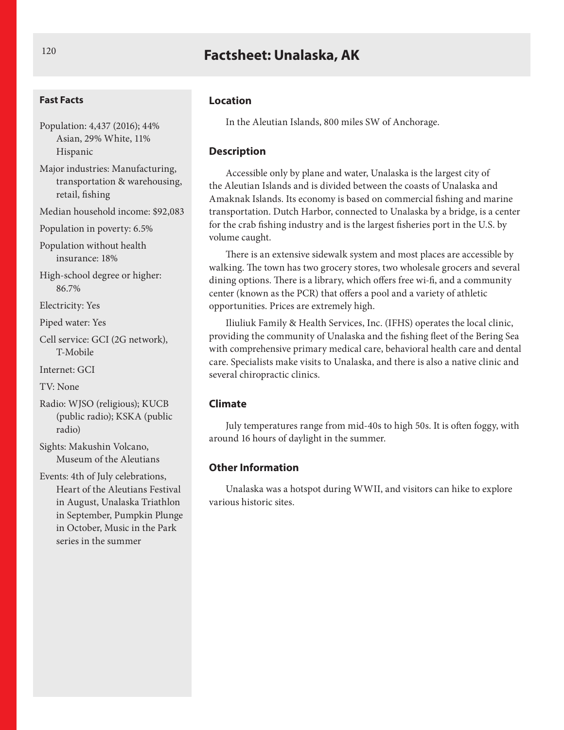# **Factsheet: Unalaska, AK**

#### **Fast Facts**

Population: 4,437 (2016); 44% Asian, 29% White, 11% Hispanic

Major industries: Manufacturing, transportation & warehousing, retail, fishing

Median household income: \$92,083

Population in poverty: 6.5%

Population without health insurance: 18%

High-school degree or higher: 86.7%

Electricity: Yes

Piped water: Yes

Cell service: GCI (2G network), T-Mobile

Internet: GCI

TV: None

Radio: WJSO (religious); KUCB (public radio); KSKA (public radio)

Sights: Makushin Volcano, Museum of the Aleutians

Events: 4th of July celebrations, Heart of the Aleutians Festival in August, Unalaska Triathlon in September, Pumpkin Plunge in October, Music in the Park series in the summer

#### **Location**

In the Aleutian Islands, 800 miles SW of Anchorage.

#### **Description**

Accessible only by plane and water, Unalaska is the largest city of the Aleutian Islands and is divided between the coasts of Unalaska and Amaknak Islands. Its economy is based on commercial fishing and marine transportation. Dutch Harbor, connected to Unalaska by a bridge, is a center for the crab fishing industry and is the largest fisheries port in the U.S. by volume caught.

There is an extensive sidewalk system and most places are accessible by walking. The town has two grocery stores, two wholesale grocers and several dining options. There is a library, which offers free wi-fi, and a community center (known as the PCR) that offers a pool and a variety of athletic opportunities. Prices are extremely high.

Iliuliuk Family & Health Services, Inc. (IFHS) operates the local clinic, providing the community of Unalaska and the fishing fleet of the Bering Sea with comprehensive primary medical care, behavioral health care and dental care. Specialists make visits to Unalaska, and there is also a native clinic and several chiropractic clinics.

#### **Climate**

July temperatures range from mid-40s to high 50s. It is often foggy, with around 16 hours of daylight in the summer.

#### **Other Information**

Unalaska was a hotspot during WWII, and visitors can hike to explore various historic sites.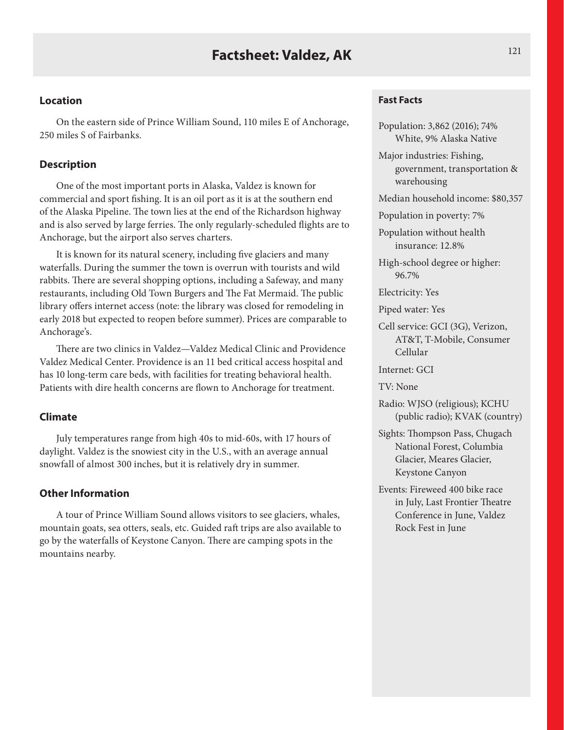On the eastern side of Prince William Sound, 110 miles E of Anchorage, 250 miles S of Fairbanks.

#### **Description**

One of the most important ports in Alaska, Valdez is known for commercial and sport fishing. It is an oil port as it is at the southern end of the Alaska Pipeline. The town lies at the end of the Richardson highway and is also served by large ferries. The only regularly-scheduled flights are to Anchorage, but the airport also serves charters.

It is known for its natural scenery, including five glaciers and many waterfalls. During the summer the town is overrun with tourists and wild rabbits. There are several shopping options, including a Safeway, and many restaurants, including Old Town Burgers and The Fat Mermaid. The public library offers internet access (note: the library was closed for remodeling in early 2018 but expected to reopen before summer). Prices are comparable to Anchorage's.

There are two clinics in Valdez—Valdez Medical Clinic and Providence Valdez Medical Center. Providence is an 11 bed critical access hospital and has 10 long-term care beds, with facilities for treating behavioral health. Patients with dire health concerns are flown to Anchorage for treatment.

### **Climate**

July temperatures range from high 40s to mid-60s, with 17 hours of daylight. Valdez is the snowiest city in the U.S., with an average annual snowfall of almost 300 inches, but it is relatively dry in summer.

## **Other Information**

A tour of Prince William Sound allows visitors to see glaciers, whales, mountain goats, sea otters, seals, etc. Guided raft trips are also available to go by the waterfalls of Keystone Canyon. There are camping spots in the mountains nearby.

#### **Fast Facts**

Population: 3,862 (2016); 74% White, 9% Alaska Native

Major industries: Fishing, government, transportation & warehousing

Median household income: \$80,357

Population in poverty: 7%

Population without health insurance: 12.8%

High-school degree or higher: 96.7%

Electricity: Yes

Piped water: Yes

Cell service: GCI (3G), Verizon, AT&T, T-Mobile, Consumer Cellular

Internet: GCI

TV: None

- Radio: WJSO (religious); KCHU (public radio); KVAK (country)
- Sights: Thompson Pass, Chugach National Forest, Columbia Glacier, Meares Glacier, Keystone Canyon
- Events: Fireweed 400 bike race in July, Last Frontier Theatre Conference in June, Valdez Rock Fest in June